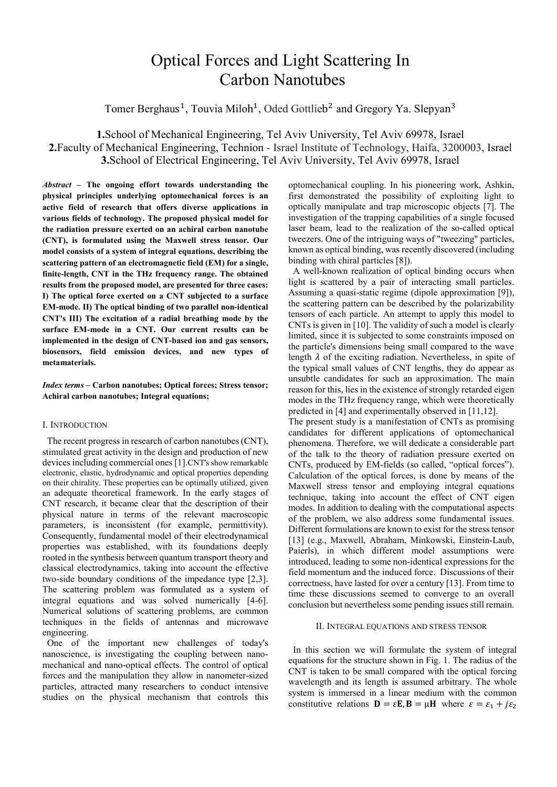# Optical Forces and Light Scattering In Carbon Nanotubes

Tomer Berghaus<sup>1</sup>, Touvia Miloh<sup>1</sup>, Oded Gottlieb<sup>2</sup> and Gregory Ya. Slepyan<sup>3</sup>

**1.**School of Mechanical Engineering, Tel Aviv University, Tel Aviv 69978, Israel **2.**Faculty of Mechanical Engineering, Technion - Israel Institute of Technology, Haifa, 3200003, Israel **3.**School of Electrical Engineering, Tel Aviv University, Tel Aviv 69978, Israel

*Abstract* **– The ongoing effort towards understanding the physical principles underlying optomechanical forces is an active field of research that offers diverse applications in various fields of technology. The proposed physical model for the radiation pressure exerted on an achiral carbon nanotube (CNT), is formulated using the Maxwell stress tensor. Our model consists of a system of integral equations, describing the scattering pattern of an electromagnetic field (EM) for a single, finite-length, CNT in the THz frequency range. The obtained results from the proposed model, are presented for three cases: I) The optical force exerted on a CNT subjected to a surface EM-mode. II) The optical binding of two parallel non-identical CNT's III) The excitation of a radial breathing mode by the surface EM-mode in a CNT. Our current results can be implemented in the design of CNT-based ion and gas sensors, biosensors, field emission devices, and new types of metamaterials.** 

# *Index terms* **– Carbon nanotubes; Optical forces; Stress tensor; Achiral carbon nanotubes; Integral equations;**

## I. INTRODUCTION

 The recent progress in research of carbon nanotubes (CNT), stimulated great activity in the design and production of new devices including commercial ones [1].CNT's show remarkable electronic, elastic, hydrodynamic and optical properties depending on their chirality. These properties can be optimally utilized, given an adequate theoretical framework. In the early stages of CNT research, it became clear that the description of their physical nature in terms of the relevant macroscopic parameters, is inconsistent (for example, permittivity). Consequently, fundamental model of their electrodynamical properties was established, with its foundations deeply rooted in the synthesis between quantum transport theory and classical electrodynamics, taking into account the effective two-side boundary conditions of the impedance type [2,3]. The scattering problem was formulated as a system of integral equations and was solved numerically [4-6]. Numerical solutions of scattering problems, are common techniques in the fields of antennas and microwave engineering.

 One of the important new challenges of today's nanoscience, is investigating the coupling between nanomechanical and nano-optical effects. The control of optical forces and the manipulation they allow in nanometer-sized particles, attracted many researchers to conduct intensive studies on the physical mechanism that controls this optomechanical coupling. In his pioneering work, Ashkin, first demonstrated the possibility of exploiting light to optically manipulate and trap microscopic objects [7]. The investigation of the trapping capabilities of a single focused laser beam, lead to the realization of the so-called optical tweezers. One of the intriguing ways of "tweezing" particles, known as optical binding, was recently discovered (including binding with chiral particles [8]).

 A well-known realization of optical binding occurs when light is scattered by a pair of interacting small particles. Assuming a quasi-static regime (dipole approximation [9]), the scattering pattern can be described by the polarizability tensors of each particle. An attempt to apply this model to CNTs is given in [10]. The validity of such a model is clearly limited, since it is subjected to some constraints imposed on the particle's dimensions being small compared to the wave length  $\lambda$  of the exciting radiation. Nevertheless, in spite of the typical small values of CNT lengths, they do appear as unsubtle candidates for such an approximation. The main reason for this, lies in the existence of strongly retarded eigen modes in the THz frequency range, which were theoretically predicted in [4] and experimentally observed in [11,12].

The present study is a manifestation of CNTs as promising candidates for different applications of optomechanical phenomena. Therefore, we will dedicate a considerable part of the talk to the theory of radiation pressure exerted on CNTs, produced by EM-fields (so called, "optical forces"). Calculation of the optical forces, is done by means of the Maxwell stress tensor and employing integral equations technique, taking into account the effect of CNT eigen modes. In addition to dealing with the computational aspects of the problem, we also address some fundamental issues. Different formulations are known to exist for the stress tensor [13] (e.g., Maxwell, Abraham, Minkowski, Einstein-Laub, Paierls), in which different model assumptions were introduced, leading to some non-identical expressions for the field momentum and the induced force. Discussions of their correctness, have lasted for over a century [13]. From time to time these discussions seemed to converge to an overall conclusion but nevertheless some pending issues still remain.

#### II. INTEGRAL EQUATIONS AND STRESS TENSOR

 In this section we will formulate the system of integral equations for the structure shown in Fig. 1. The radius of the CNT is taken to be small compared with the optical forcing wavelength and its length is assumed arbitrary. The whole system is immersed in a linear medium with the common constitutive relations  $\mathbf{D} = \varepsilon \mathbf{E}, \mathbf{B} = \mu \mathbf{H}$  where  $\varepsilon = \varepsilon_1 + j \varepsilon_2$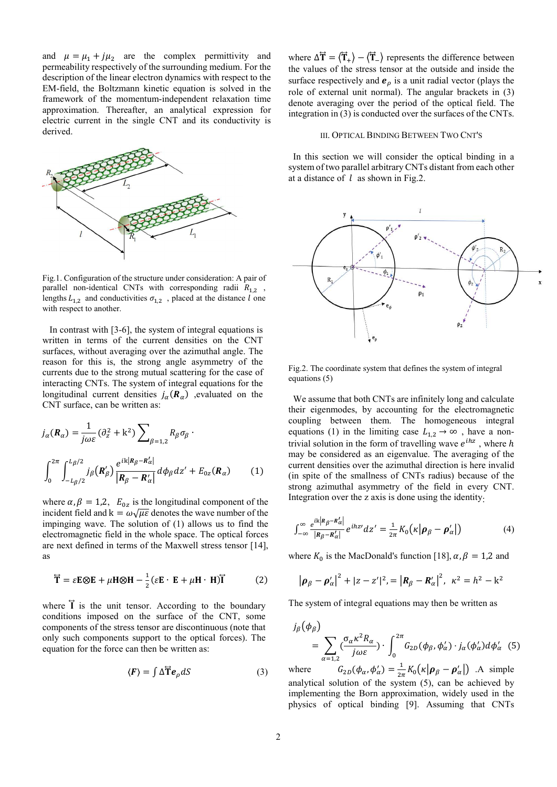and  $\mu = \mu_1 + j\mu_2$  are the complex permittivity and permeability respectively of the surrounding medium. For the description of the linear electron dynamics with respect to the EM-field, the Boltzmann kinetic equation is solved in the framework of the momentum-independent relaxation time approximation. Thereafter, an analytical expression for electric current in the single CNT and its conductivity is derived.



Fig.1. Configuration of the structure under consideration: A pair of parallel non-identical CNTs with corresponding radii  $R_{1,2}$ , lengths  $L_{1,2}$  and conductivities  $\sigma_{1,2}$ , placed at the distance l one with respect to another.

 In contrast with [3-6], the system of integral equations is written in terms of the current densities on the CNT surfaces, without averaging over the azimuthal angle. The reason for this is, the strong angle asymmetry of the currents due to the strong mutual scattering for the case of interacting CNTs. The system of integral equations for the longitudinal current densities  $j_{\alpha}(\mathbf{R}_{\alpha})$  , evaluated on the CNT surface, can be written as:

$$
j_{\alpha}(\mathbf{R}_{\alpha}) = \frac{1}{j\omega\varepsilon} (\partial_z^2 + k^2) \sum_{\beta=1,2} R_{\beta}\sigma_{\beta}.
$$
  

$$
\int_0^{2\pi} \int_{-L_{\beta}/2}^{L_{\beta}/2} j_{\beta}(\mathbf{R}_{\beta}') \frac{e^{ik|\mathbf{R}_{\beta} - \mathbf{R}_{\alpha}'|}}{|\mathbf{R}_{\beta} - \mathbf{R}_{\alpha}'|} d\phi_{\beta} dz' + E_{0z}(\mathbf{R}_{\alpha}) \qquad (1)
$$

where  $\alpha$ ,  $\beta = 1,2$ ,  $E_{0z}$  is the longitudinal component of the incident field and  $k = \omega \sqrt{\mu \varepsilon}$  denotes the wave number of the impinging wave. The solution of (1) allows us to find the electromagnetic field in the whole space. The optical forces are next defined in terms of the Maxwell stress tensor [14], as

$$
\overleftrightarrow{\mathbf{T}} = \varepsilon \mathbf{E} \otimes \mathbf{E} + \mu \mathbf{H} \otimes \mathbf{H} - \frac{1}{2} (\varepsilon \mathbf{E} \cdot \mathbf{E} + \mu \mathbf{H} \cdot \mathbf{H}) \overrightarrow{\mathbf{I}}
$$
 (2)

where  $\vec{l}$  is the unit tensor. According to the boundary conditions imposed on the surface of the CNT, some components of the stress tensor are discontinuous (note that only such components support to the optical forces). The equation for the force can then be written as:

$$
\langle \mathbf{F} \rangle = \int \Delta \overline{\mathbf{T}} \mathbf{e}_{\rho} dS \tag{3}
$$

where  $\Delta \mathbf{T} = \langle \mathbf{T}_+ \rangle - \langle \mathbf{T}_- \rangle$  represents the difference between the values of the stress tensor at the outside and inside the surface respectively and  $e_{\rho}$  is a unit radial vector (plays the role of external unit normal). The angular brackets in (3) denote averaging over the period of the optical field. The integration in (3) is conducted over the surfaces of the CNTs.

## III. OPTICAL BINDING BETWEEN TWO CNT'S

 In this section we will consider the optical binding in a system of two parallel arbitrary CNTs distant from each other at a distance of  $l$  as shown in Fig.2.



Fig.2. The coordinate system that defines the system of integral equations (5)

 We assume that both CNTs are infinitely long and calculate their eigenmodes, by accounting for the electromagnetic coupling between them. The homogeneous integral equations (1) in the limiting case  $L_{1,2} \rightarrow \infty$ , have a nontrivial solution in the form of travelling wave  $e^{ihz}$ , where  $h$ may be considered as an eigenvalue. The averaging of the current densities over the azimuthal direction is here invalid (in spite of the smallness of CNTs radius) because of the strong azimuthal asymmetry of the field in every CNT. Integration over the z axis is done using the identity:

$$
\int_{-\infty}^{\infty} \frac{e^{ik|R_{\beta} - R'_{\alpha}|}}{|R_{\beta} - R'_{\alpha}|} e^{ihz'} dz' = \frac{1}{2\pi} K_0(\kappa |\boldsymbol{\rho}_{\beta} - \boldsymbol{\rho}'_{\alpha}|)
$$
(4)

where  $K_0$  is the MacDonald's function [18],  $\alpha, \beta = 1,2$  and

$$
|\rho_{\beta} - \rho_{\alpha}'|^2 + |z - z'|^2 = |R_{\beta} - R_{\alpha}'|^2, \ \kappa^2 = h^2 - k^2
$$

The system of integral equations may then be written as

$$
j_{\beta}(\phi_{\beta}) = \sum_{\alpha=1,2} \left( \frac{\sigma_{\alpha} \kappa^2 R_{\alpha}}{j \omega \varepsilon} \right) \cdot \int_0^{2\pi} G_{2D}(\phi_{\beta}, \phi_{\alpha}') \cdot j_{\alpha}(\phi_{\alpha}') d\phi_{\alpha}' \quad (5)
$$

where  $G_{2D}(\phi_\alpha, \phi'_\alpha) = \frac{1}{2\pi} K_0(\kappa | \boldsymbol{\rho}_\beta - \boldsymbol{\rho}'_\alpha |)$  . A simple analytical solution of the system (5), can be achieved by implementing the Born approximation, widely used in the physics of optical binding [9]. Assuming that CNTs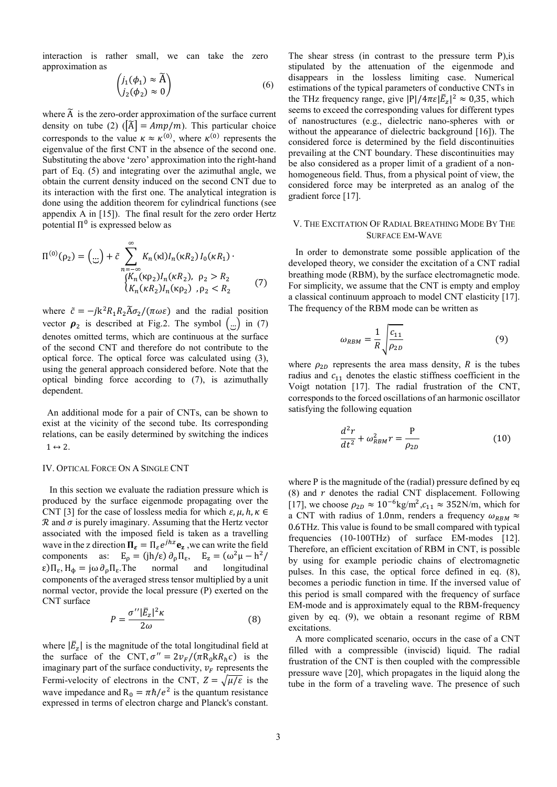interaction is rather small, we can take the zero approximation as

$$
\begin{pmatrix} j_1(\phi_1) \approx \widetilde{A} \\ j_2(\phi_2) \approx 0 \end{pmatrix}
$$
 (6)

where  $\tilde{A}$  is the zero-order approximation of the surface current density on tube (2)  $(|\tilde{A}| = Amp/m)$ . This particular choice corresponds to the value  $\kappa \approx \kappa^{(0)}$ , where  $\kappa^{(0)}$  represents the eigenvalue of the first CNT in the absence of the second one. Substituting the above 'zero' approximation into the right-hand part of Eq. (5) and integrating over the azimuthal angle, we obtain the current density induced on the second CNT due to its interaction with the first one. The analytical integration is done using the addition theorem for cylindrical functions (see appendix A in [15]). The final result for the zero order Hertz potential  $\Pi^0$  is expressed below as

$$
\Pi^{(0)}(\rho_2) = (\mathbf{r}) + \tilde{c} \sum_{n = -\infty}^{\infty} K_n(\kappa I) I_n(\kappa R_2) I_0(\kappa R_1) \cdot
$$
  
\n
$$
\begin{cases}\nK_n(\kappa \rho_2) I_n(\kappa R_2), & \rho_2 > R_2 \\
K_n(\kappa R_2) I_n(\kappa \rho_2), & \rho_2 < R_2\n\end{cases}
$$
\n(7)

where  $\tilde{c} = -jk^2 R_1 R_2 \tilde{A} \sigma_2 / (\pi \omega \varepsilon)$  and the radial position vector  $\rho_2$  is described at Fig.2. The symbol  $\begin{pmatrix} \cdots \\ \cdots \end{pmatrix}$  in (7) denotes omitted terms, which are continuous at the surface of the second CNT and therefore do not contribute to the optical force. The optical force was calculated using (3), using the general approach considered before. Note that the optical binding force according to (7), is azimuthally dependent.

 An additional mode for a pair of CNTs, can be shown to exist at the vicinity of the second tube. Its corresponding relations, can be easily determined by switching the indices  $1 \leftrightarrow 2$ .

#### IV. OPTICAL FORCE ON A SINGLE CNT

 In this section we evaluate the radiation pressure which is produced by the surface eigenmode propagating over the CNT [3] for the case of lossless media for which  $\varepsilon, u, h, \kappa \in$  $\mathcal R$  and  $\sigma$  is purely imaginary. Assuming that the Hertz vector associated with the imposed field is taken as a travelling wave in the z direction  $\Pi_{\varepsilon} = \Pi_{\varepsilon} e^{jhz} \mathbf{e}_z$ , we can write the field components as:  $E_{\rho} = (\text{jh}/\epsilon) \partial_{\rho} \Pi_{\epsilon}, E_{z} = (\omega^2 \mu - h^2)$  $\epsilon$ ) $\Pi_{\epsilon}$ ,  $H_{\phi} = j\omega \partial_{\rho} \Pi_{\epsilon}$ . The normal and longitudinal components of the averaged stress tensor multiplied by a unit normal vector, provide the local pressure (P) exerted on the CNT surface

$$
P = \frac{\sigma'' |\bar{E}_z|^2 \kappa}{2\omega} \tag{8}
$$

where  $|\bar{E}_z|$  is the magnitude of the total longitudinal field at the surface of the CNT,  $\sigma'' = 2v_F/(\pi R_0 kR_h c)$  is the imaginary part of the surface conductivity,  $v_F$  represents the Fermi-velocity of electrons in the CNT,  $Z = \sqrt{\mu/\varepsilon}$  is the wave impedance and  $R_0 = \pi \hbar/e^2$  is the quantum resistance expressed in terms of electron charge and Planck's constant.

The shear stress (in contrast to the pressure term P),is stipulated by the attenuation of the eigenmode and disappears in the lossless limiting case. Numerical estimations of the typical parameters of conductive CNTs in the THz frequency range, give  $|P|/4\pi\varepsilon |\bar{E}_z|^2 \approx 0.35$ , which seems to exceed the corresponding values for different types of nanostructures (e.g., dielectric nano-spheres with or without the appearance of dielectric background [16]). The considered force is determined by the field discontinuities prevailing at the CNT boundary. These discontinuities may be also considered as a proper limit of a gradient of a nonhomogeneous field. Thus, from a physical point of view, the considered force may be interpreted as an analog of the gradient force [17].

## V. THE EXCITATION OF RADIAL BREATHING MODE BY THE SURFACE EM-WAVE

 In order to demonstrate some possible application of the developed theory, we consider the excitation of a CNT radial breathing mode (RBM), by the surface electromagnetic mode. For simplicity, we assume that the CNT is empty and employ a classical continuum approach to model CNT elasticity [17]. The frequency of the RBM mode can be written as

$$
\omega_{RBM} = \frac{1}{R} \sqrt{\frac{c_{11}}{\rho_{2D}}} \tag{9}
$$

where  $\rho_{2D}$  represents the area mass density, R is the tubes radius and  $c_{11}$  denotes the elastic stiffness coefficient in the Voigt notation [17]. The radial frustration of the CNT, corresponds to the forced oscillations of an harmonic oscillator satisfying the following equation

$$
\frac{d^2r}{dt^2} + \omega_{RBM}^2 r = \frac{P}{\rho_{2D}}\tag{10}
$$

where P is the magnitude of the (radial) pressure defined by eq (8) and  $r$  denotes the radial CNT displacement. Following [17], we choose  $\rho_{2D} \approx 10^{-6} \text{kg/m}^2$ ,  $c_{11} \approx 352 \text{N/m}$ , which for a CNT with radius of 1.0nm, renders a frequency  $\omega_{RBM} \approx$ 0.6THz. This value is found to be small compared with typical frequencies (10-100THz) of surface EM-modes [12]. Therefore, an efficient excitation of RBM in CNT, is possible by using for example periodic chains of electromagnetic pulses. In this case, the optical force defined in eq. (8), becomes a periodic function in time. If the inversed value of this period is small compared with the frequency of surface EM-mode and is approximately equal to the RBM-frequency given by eq. (9), we obtain a resonant regime of RBM excitations.

 A more complicated scenario, occurs in the case of a CNT filled with a compressible (inviscid) liquid. The radial frustration of the CNT is then coupled with the compressible pressure wave [20], which propagates in the liquid along the tube in the form of a traveling wave. The presence of such